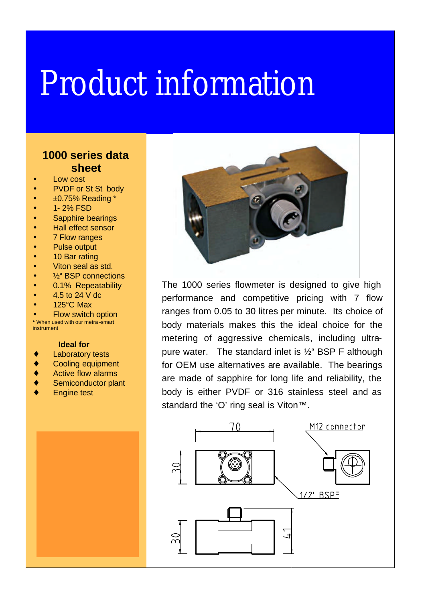## Product information

## **1000 series data sheet**

- Low cost
- PVDF or St St body
- ±0.75% Reading \*
- 1-2% FSD
- Sapphire bearings
- Hall effect sensor
- 7 Flow ranges
- Pulse output
- 10 Bar rating
- Viton seal as std.
- <sup>1/2"</sup> BSP connections
- 0.1% Repeatability
- 4.5 to 24 V dc
- 125°C Max

**Flow switch option \*** When used with our metra -smart instrument

## **Ideal for**

- **Laboratory tests**
- ♦ Cooling equipment
- ♦ Active flow alarms
- Semiconductor plant
- **Engine test**



The 1000 series flowmeter is designed to give high performance and competitive pricing with 7 flow ranges from 0.05 to 30 litres per minute. Its choice of body materials makes this the ideal choice for the metering of aggressive chemicals, including ultrapure water. The standard inlet is  $\frac{1}{2}$  BSP F although for OEM use alternatives are available. The bearings are made of sapphire for long life and reliability, the body is either PVDF or 316 stainless steel and as standard the 'O' ring seal is Viton™.